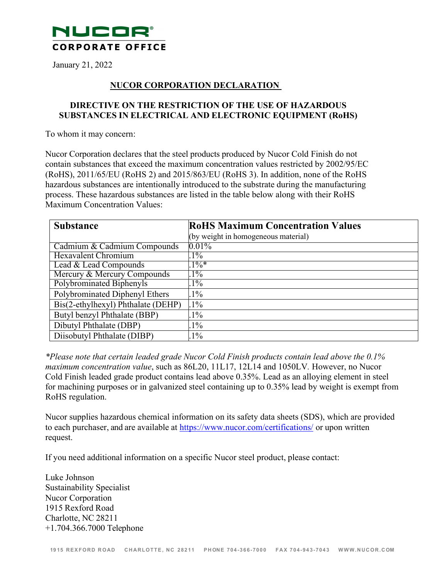

January 21, 2022

## **NUCOR CORPORATION DECLARATION**

## **DIRECTIVE ON THE RESTRICTION OF THE USE OF HAZARDOUS SUBSTANCES IN ELECTRICAL AND ELECTRONIC EQUIPMENT (RoHS)**

To whom it may concern:

Nucor Corporation declares that the steel products produced by Nucor Cold Finish do not contain substances that exceed the maximum concentration values restricted by 2002/95/EC (RoHS), 2011/65/EU (RoHS 2) and 2015/863/EU (RoHS 3). In addition, none of the RoHS hazardous substances are intentionally introduced to the substrate during the manufacturing process. These hazardous substances are listed in the table below along with their RoHS Maximum Concentration Values:

| <b>Substance</b>                   | <b>RoHS Maximum Concentration Values</b> |
|------------------------------------|------------------------------------------|
|                                    | (by weight in homogeneous material)      |
| Cadmium & Cadmium Compounds        | $0.01\%$                                 |
| Hexavalent Chromium                | $1\%$                                    |
| Lead & Lead Compounds              | $.1\%*$                                  |
| Mercury & Mercury Compounds        | $1\%$                                    |
| Polybrominated Biphenyls           | $1\%$                                    |
| Polybrominated Diphenyl Ethers     | $1\%$                                    |
| Bis(2-ethylhexyl) Phthalate (DEHP) | $1\%$                                    |
| Butyl benzyl Phthalate (BBP)       | $1\%$                                    |
| Dibutyl Phthalate (DBP)            | $1\%$                                    |
| Diisobutyl Phthalate (DIBP)        | $1\%$                                    |

*\*Please note that certain leaded grade Nucor Cold Finish products contain lead above the 0.1% maximum concentration value*, such as 86L20, 11L17, 12L14 and 1050LV*.* However, no Nucor Cold Finish leaded grade product contains lead above 0.35%. Lead as an alloying element in steel for machining purposes or in galvanized steel containing up to 0.35% lead by weight is exempt from RoHS regulation.

Nucor supplies hazardous chemical information on its safety data sheets (SDS), which are provided to each purchaser, and are available at https:/[/www.nucor.com/certifications/](http://www.nucor.com/certifications/) or upon written request.

If you need additional information on a specific Nucor steel product, please contact:

Luke Johnson Sustainability Specialist Nucor Corporation 1915 Rexford Road Charlotte, NC 28211 +1.704.366.7000 Telephone